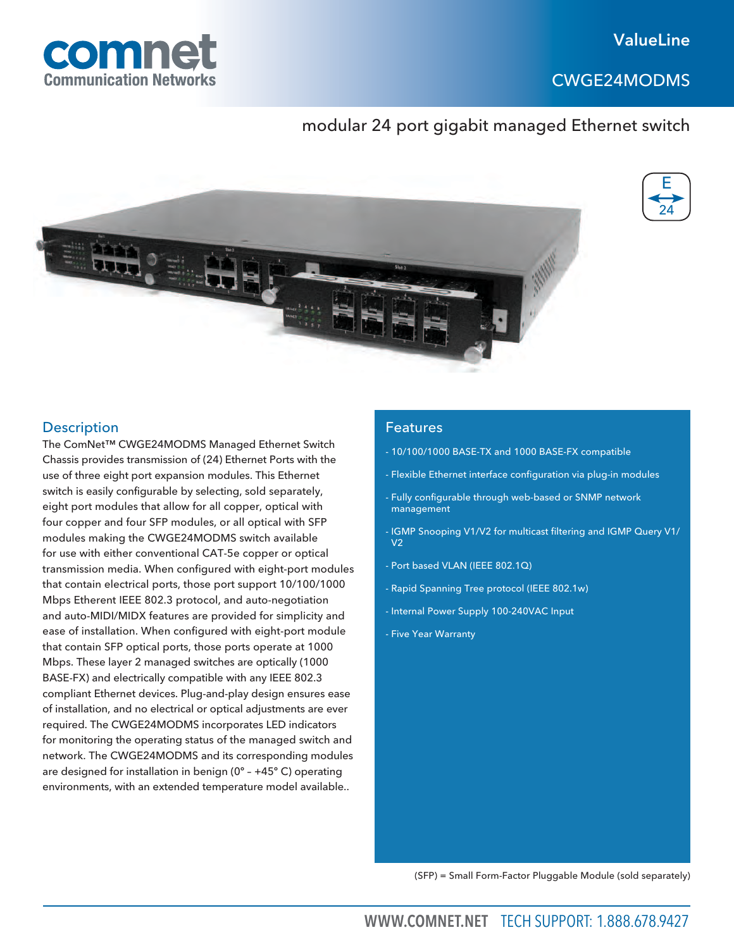CWGE24MODMS



# modular 24 port gigabit managed Ethernet switch





## **Description**

The ComNet™ CWGE24MODMS Managed Ethernet Switch Chassis provides transmission of (24) Ethernet Ports with the use of three eight port expansion modules. This Ethernet switch is easily configurable by selecting, sold separately, eight port modules that allow for all copper, optical with four copper and four SFP modules, or all optical with SFP modules making the CWGE24MODMS switch available for use with either conventional CAT-5e copper or optical transmission media. When configured with eight-port modules that contain electrical ports, those port support 10/100/1000 Mbps Etherent IEEE 802.3 protocol, and auto-negotiation and auto-MIDI/MIDX features are provided for simplicity and ease of installation. When configured with eight-port module that contain SFP optical ports, those ports operate at 1000 Mbps. These layer 2 managed switches are optically (1000 BASE-FX) and electrically compatible with any IEEE 802.3 compliant Ethernet devices. Plug-and-play design ensures ease of installation, and no electrical or optical adjustments are ever required. The CWGE24MODMS incorporates LED indicators for monitoring the operating status of the managed switch and network. The CWGE24MODMS and its corresponding modules are designed for installation in benign (0º – +45º C) operating environments, with an extended temperature model available..

## Features

- 10/100/1000 BASE-TX and 1000 BASE-FX compatible
- Flexible Ethernet interface configuration via plug-in modules
- Fully configurable through web-based or SNMP network management
- IGMP Snooping V1/V2 for multicast filtering and IGMP Query V1/  $V<sub>2</sub>$
- Port based VLAN (IEEE 802.1Q)
- Rapid Spanning Tree protocol (IEEE 802.1w)
- Internal Power Supply 100-240VAC Input
- Five Year Warranty

(SFP) = Small Form-Factor Pluggable Module (sold separately)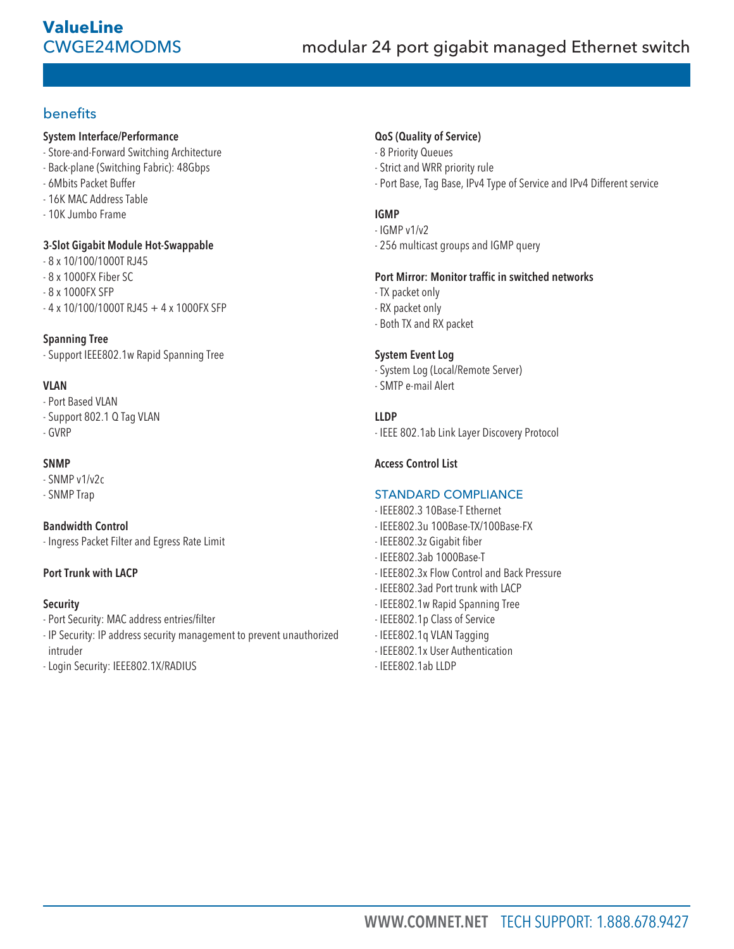# benefits

## System Interface/Performance

- Store-and-Forward Switching Architecture
- Back-plane (Switching Fabric): 48Gbps
- 6Mbits Packet Buffer
- 16K MAC Address Table
- 10K Jumbo Frame

## 3-Slot Gigabit Module Hot-Swappable

- 8 x 10/100/1000T RJ45
- 8 x 1000FX Fiber SC
- 8 x 1000FX SFP
- $-4 \times 10/100/1000$ T RJ45 + 4 x 1000FX SFP

## Spanning Tree

- Support IEEE802.1w Rapid Spanning Tree

## VLAN

- Port Based VLAN
- Support 802.1 Q Tag VLAN
- GVRP

## SNMP

- SNMP v1/v2c
- SNMP Trap

## Bandwidth Control

- Ingress Packet Filter and Egress Rate Limit

## Port Trunk with LACP

## Security

- Port Security: MAC address entries/filter
- IP Security: IP address security management to prevent unauthorized intruder
- Login Security: IEEE802.1X/RADIUS

## QoS (Quality of Service)

- 8 Priority Queues
- Strict and WRR priority rule
- Port Base, Tag Base, IPv4 Type of Service and IPv4 Different service

## IGMP

- IGMP v1/v2
- 256 multicast groups and IGMP query

## Port Mirror: Monitor traffic in switched networks

- TX packet only
- RX packet only
- Both TX and RX packet

## System Event Log

- System Log (Local/Remote Server)
- SMTP e-mail Alert

## LLDP

- IEEE 802.1ab Link Layer Discovery Protocol

## Access Control List

## STANDARD COMPLIANCE

- IEEE802.3 10Base-T Ethernet
- IEEE802.3u 100Base-TX/100Base-FX
- IEEE802.3z Gigabit fiber
- IEEE802.3ab 1000Base-T
- IEEE802.3x Flow Control and Back Pressure
- IEEE802.3ad Port trunk with LACP
- IEEE802.1w Rapid Spanning Tree
- IEEE802.1p Class of Service
- IEEE802.1q VLAN Tagging
- IEEE802.1x User Authentication
- IEEE802.1ab LLDP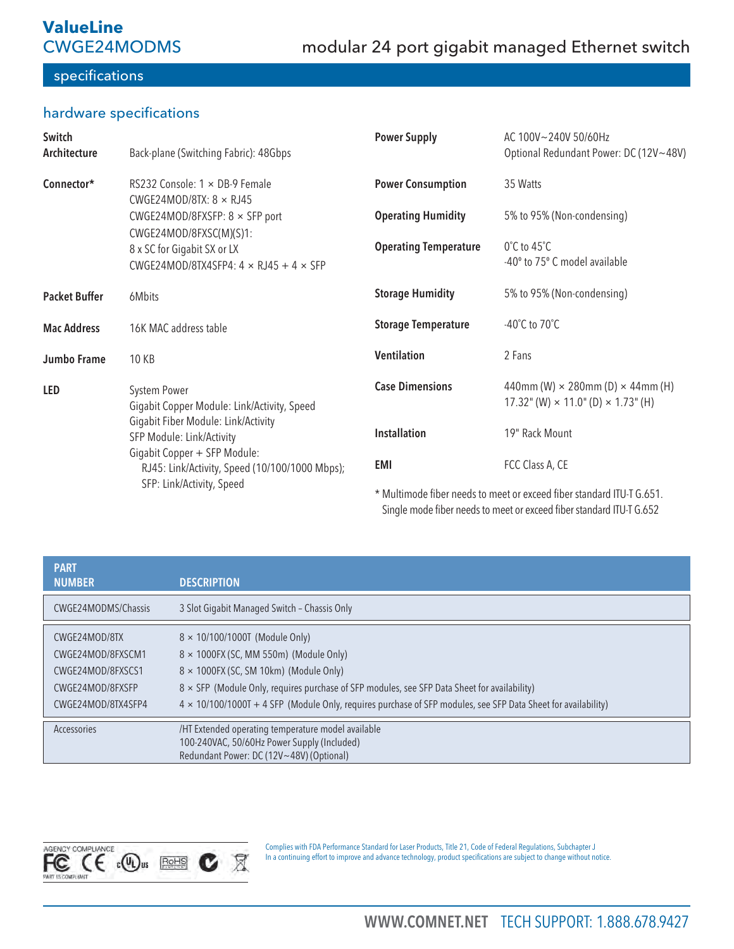# **ValueLine**  CWGE24MODMS

# specifications

# hardware specifications

| Switch<br>Architecture | Back-plane (Switching Fabric): 48Gbps                                                                          | <b>Power Supply</b>                                                   | AC 100V~240V 50/60Hz<br>Optional Redundant Power: DC (12V~48V)                                     |
|------------------------|----------------------------------------------------------------------------------------------------------------|-----------------------------------------------------------------------|----------------------------------------------------------------------------------------------------|
| Connector*             | RS232 Console: $1 \times$ DB-9 Female<br>CWGE24MOD/8TX: $8 \times RJ45$                                        | <b>Power Consumption</b>                                              | 35 Watts                                                                                           |
|                        | CWGE24MOD/8FXSFP: $8 \times$ SFP port                                                                          | <b>Operating Humidity</b>                                             | 5% to 95% (Non-condensing)                                                                         |
|                        | CWGE24MOD/8FXSC(M)(S)1:<br>8 x SC for Gigabit SX or LX<br>CWGE24MOD/8TX4SFP4: $4 \times$ RJ45 + $4 \times$ SFP | <b>Operating Temperature</b>                                          | $0^{\circ}$ C to 45 $^{\circ}$ C<br>-40° to 75° C model available                                  |
| <b>Packet Buffer</b>   | 6Mbits                                                                                                         | <b>Storage Humidity</b>                                               | 5% to 95% (Non-condensing)                                                                         |
| <b>Mac Address</b>     | 16K MAC address table                                                                                          | <b>Storage Temperature</b>                                            | -40 $^{\circ}$ C to 70 $^{\circ}$ C                                                                |
| Jumbo Frame            | 10 KB                                                                                                          | <b>Ventilation</b>                                                    | 2 Fans                                                                                             |
| <b>LED</b>             | System Power<br>Gigabit Copper Module: Link/Activity, Speed<br>Gigabit Fiber Module: Link/Activity             | <b>Case Dimensions</b>                                                | 440mm (W) $\times$ 280mm (D) $\times$ 44mm (H)<br>17.32" (W) $\times$ 11.0" (D) $\times$ 1.73" (H) |
|                        | SFP Module: Link/Activity                                                                                      | <b>Installation</b>                                                   | 19" Rack Mount                                                                                     |
|                        | Gigabit Copper + SFP Module:<br>RJ45: Link/Activity, Speed (10/100/1000 Mbps);                                 | EMI                                                                   | FCC Class A, CE                                                                                    |
|                        | SFP: Link/Activity, Speed                                                                                      | * Multimode fiber needs to meet or exceed fiber standard ITU-T G.651. |                                                                                                    |

Single mode fiber needs to meet or exceed fiber standard ITU-T G.652

| <b>PART</b><br><b>NUMBER</b>                                                                      | <b>DESCRIPTION</b>                                                                                                                                                                                                                                                                                                                                        |
|---------------------------------------------------------------------------------------------------|-----------------------------------------------------------------------------------------------------------------------------------------------------------------------------------------------------------------------------------------------------------------------------------------------------------------------------------------------------------|
| CWGE24MODMS/Chassis                                                                               | 3 Slot Gigabit Managed Switch - Chassis Only                                                                                                                                                                                                                                                                                                              |
| CWGE24MOD/8TX<br>CWGE24MOD/8FXSCM1<br>CWGE24MOD/8FXSCS1<br>CWGE24MOD/8FXSFP<br>CWGE24MOD/8TX4SFP4 | $8 \times 10/100/1000$ (Module Only)<br>$8 \times 1000$ FX (SC, MM 550m) (Module Only)<br>$8 \times 1000$ FX (SC, SM 10km) (Module Only)<br>8 x SFP (Module Only, requires purchase of SFP modules, see SFP Data Sheet for availability)<br>4 x 10/100/1000T + 4 SFP (Module Only, requires purchase of SFP modules, see SFP Data Sheet for availability) |
| Accessories                                                                                       | /HT Extended operating temperature model available<br>100-240VAC, 50/60Hz Power Supply (Included)<br>Redundant Power: DC (12V~48V) (Optional)                                                                                                                                                                                                             |



Complies with FDA Performance Standard for Laser Products, Title 21, Code of Federal Regulations, Subchapter J In a continuing effort to improve and advance technology, product specifications are subject to change without notice.